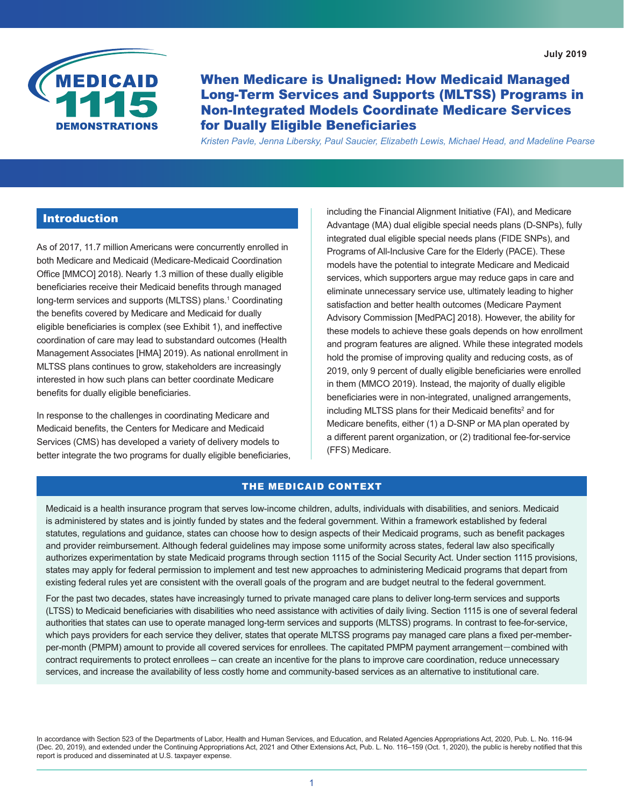<span id="page-0-0"></span>

When Medicare is Unaligned: How Medicaid Managed Long-Term Services and Supports (MLTSS) Programs in Non-Integrated Models Coordinate Medicare Services for Dually Eligible Beneficiaries

*Kristen Pavle, Jenna Libersky, Paul Saucier, Elizabeth Lewis, Michael Head, and Madeline Pearse*

## Introduction

As of 2017, 11.7 million Americans were concurrently enrolled in both Medicare and Medicaid (Medicare-Medicaid Coordination Office [MMCO] 2018). Nearly 1.3 million of these dually eligible beneficiaries receive their Medicaid benefits through managed long-term services and supports (MLTSS) plans.[1](#page-12-0) Coordinating the benefits covered by Medicare and Medicaid for dually eligible beneficiaries is complex (see Exhibit 1), and ineffective coordination of care may lead to substandard outcomes (Health Management Associates [HMA] 2019). As national enrollment in MLTSS plans continues to grow, stakeholders are increasingly interested in how such plans can better coordinate Medicare benefits for dually eligible beneficiaries.

In response to the challenges in coordinating Medicare and Medicaid benefits, the Centers for Medicare and Medicaid Services (CMS) has developed a variety of delivery models to better integrate the two programs for dually eligible beneficiaries, including the Financial Alignment Initiative (FAI), and Medicare Advantage (MA) dual eligible special needs plans (D-SNPs), fully integrated dual eligible special needs plans (FIDE SNPs), and Programs of All-Inclusive Care for the Elderly (PACE). These models have the potential to integrate Medicare and Medicaid services, which supporters argue may reduce gaps in care and eliminate unnecessary service use, ultimately leading to higher satisfaction and better health outcomes (Medicare Payment Advisory Commission [MedPAC] 2018). However, the ability for these models to achieve these goals depends on how enrollment and program features are aligned. While these integrated models hold the promise of improving quality and reducing costs, as of 2019, only 9 percent of dually eligible beneficiaries were enrolled in them (MMCO 2019). Instead, the majority of dually eligible beneficiaries were in non-integrated, unaligned arrangements, including MLTSS plans for their Medicaid benefits $^2$  $^2$  and for Medicare benefits, either (1) a D-SNP or MA plan operated by a different parent organization, or (2) traditional fee-for-service (FFS) Medicare.

### THE MEDICAID CONTEXT

Medicaid is a health insurance program that serves low-income children, adults, individuals with disabilities, and seniors. Medicaid is administered by states and is jointly funded by states and the federal government. Within a framework established by federal statutes, regulations and guidance, states can choose how to design aspects of their Medicaid programs, such as benefit packages and provider reimbursement. Although federal guidelines may impose some uniformity across states, federal law also specifically authorizes experimentation by state Medicaid programs through section 1115 of the Social Security Act. Under section 1115 provisions, states may apply for federal permission to implement and test new approaches to administering Medicaid programs that depart from existing federal rules yet are consistent with the overall goals of the program and are budget neutral to the federal government.

For the past two decades, states have increasingly turned to private managed care plans to deliver long-term services and supports (LTSS) to Medicaid beneficiaries with disabilities who need assistance with activities of daily living. Section 1115 is one of several federal authorities that states can use to operate managed long-term services and supports (MLTSS) programs. In contrast to fee-for-service, which pays providers for each service they deliver, states that operate MLTSS programs pay managed care plans a fixed per-memberper-month (PMPM) amount to provide all covered services for enrollees. The capitated PMPM payment arrangement—combined with contract requirements to protect enrollees – can create an incentive for the plans to improve care coordination, reduce unnecessary services, and increase the availability of less costly home and community-based services as an alternative to institutional care.

In accordance with Section 523 of the Departments of Labor, Health and Human Services, and Education, and Related Agencies Appropriations Act, 2020, Pub. L. No. 116-94 (Dec. 20, 2019), and extended under the Continuing Appropriations Act, 2021 and Other Extensions Act, Pub. L. No. 116–159 (Oct. 1, 2020), the public is hereby notified that this report is produced and disseminated at U.S. taxpayer expense.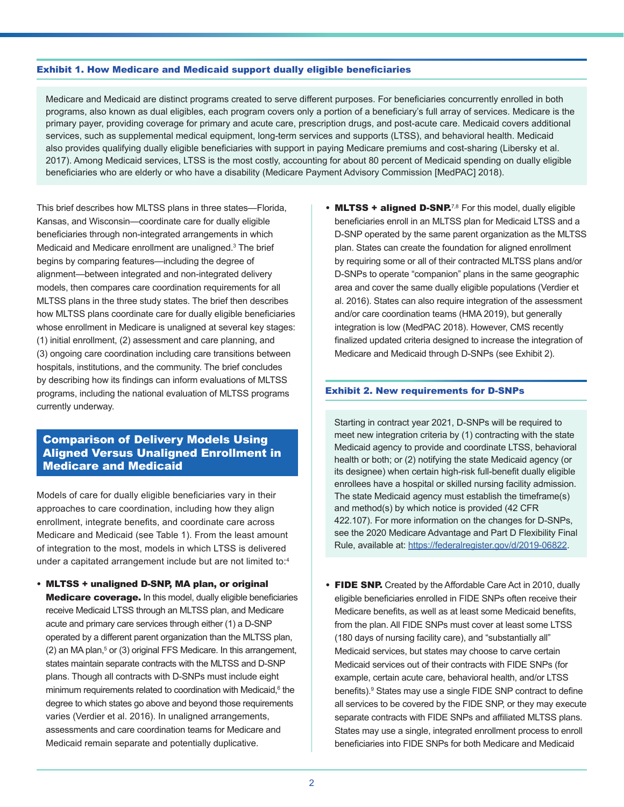#### <span id="page-1-0"></span>Exhibit 1. How Medicare and Medicaid support dually eligible beneficiaries

Medicare and Medicaid are distinct programs created to serve different purposes. For beneficiaries concurrently enrolled in both programs, also known as dual eligibles, each program covers only a portion of a beneficiary's full array of services. Medicare is the primary payer, providing coverage for primary and acute care, prescription drugs, and post-acute care. Medicaid covers additional services, such as supplemental medical equipment, long-term services and supports (LTSS), and behavioral health. Medicaid also provides qualifying dually eligible beneficiaries with support in paying Medicare premiums and cost-sharing (Libersky et al. 2017). Among Medicaid services, LTSS is the most costly, accounting for about 80 percent of Medicaid spending on dually eligible beneficiaries who are elderly or who have a disability (Medicare Payment Advisory Commission [MedPAC] 2018).

This brief describes how MLTSS plans in three states—Florida, Kansas, and Wisconsin—coordinate care for dually eligible beneficiaries through non-integrated arrangements in which Medicaid and Medicare enrollment are unaligned.[3](#page-12-0) The brief begins by comparing features—including the degree of alignment—between integrated and non-integrated delivery models, then compares care coordination requirements for all MLTSS plans in the three study states. The brief then describes how MLTSS plans coordinate care for dually eligible beneficiaries whose enrollment in Medicare is unaligned at several key stages: (1) initial enrollment, (2) assessment and care planning, and (3) ongoing care coordination including care transitions between hospitals, institutions, and the community. The brief concludes by describing how its findings can inform evaluations of MLTSS programs, including the national evaluation of MLTSS programs currently underway.

## Comparison of Delivery Models Using Aligned Versus Unaligned Enrollment in Medicare and Medicaid

Models of care for dually eligible beneficiaries vary in their approaches to care coordination, including how they align enrollment, integrate benefits, and coordinate care across Medicare and Medicaid (see Table 1). From the least amount of integration to the most, models in which LTSS is delivered under a capitated arrangement include but are not limited to:[4](#page-12-0)

• MLTSS + unaligned D-SNP, MA plan, or original **Medicare coverage.** In this model, dually eligible beneficiaries receive Medicaid LTSS through an MLTSS plan, and Medicare acute and primary care services through either (1) a D-SNP operated by a different parent organization than the MLTSS plan,  $(2)$  an MA plan, $5$  or  $(3)$  original FFS Medicare. In this arrangement, states maintain separate contracts with the MLTSS and D-SNP plans. Though all contracts with D-SNPs must include eight minimum requirements related to coordination with Medicaid,<sup>6</sup> the degree to which states go above and beyond those requirements varies (Verdier et al. 2016). In unaligned arrangements, assessments and care coordination teams for Medicare and Medicaid remain separate and potentially duplicative.

• MLTSS + aligned D-SNP.<sup>[7,8](#page-12-0)</sup> For this model, dually eligible beneficiaries enroll in an MLTSS plan for Medicaid LTSS and a D-SNP operated by the same parent organization as the MLTSS plan. States can create the foundation for aligned enrollment by requiring some or all of their contracted MLTSS plans and/or D-SNPs to operate "companion" plans in the same geographic area and cover the same dually eligible populations (Verdier et al. 2016). States can also require integration of the assessment and/or care coordination teams (HMA 2019), but generally integration is low (MedPAC 2018). However, CMS recently finalized updated criteria designed to increase the integration of Medicare and Medicaid through D-SNPs (see Exhibit 2).

#### Exhibit 2. New requirements for D-SNPs

Starting in contract year 2021, D-SNPs will be required to meet new integration criteria by (1) contracting with the state Medicaid agency to provide and coordinate LTSS, behavioral health or both; or (2) notifying the state Medicaid agency (or its designee) when certain high-risk full-benefit dually eligible enrollees have a hospital or skilled nursing facility admission. The state Medicaid agency must establish the timeframe(s) and method(s) by which notice is provided (42 CFR 422.107). For more information on the changes for D-SNPs, see the 2020 Medicare Advantage and Part D Flexibility Final Rule, available at: [https://federalregister.gov/d/2019-06822.](https://federalregister.gov/d/2019-06822)

• FIDE SNP. Created by the Affordable Care Act in 2010, dually eligible beneficiaries enrolled in FIDE SNPs often receive their Medicare benefits, as well as at least some Medicaid benefits, from the plan. All FIDE SNPs must cover at least some LTSS (180 days of nursing facility care), and "substantially all" Medicaid services, but states may choose to carve certain Medicaid services out of their contracts with FIDE SNPs (for example, certain acute care, behavioral health, and/or LTSS benefits).[9](#page-13-0) States may use a single FIDE SNP contract to define all services to be covered by the FIDE SNP, or they may execute separate contracts with FIDE SNPs and affiliated MLTSS plans. States may use a single, integrated enrollment process to enroll beneficiaries into FIDE SNPs for both Medicare and Medicaid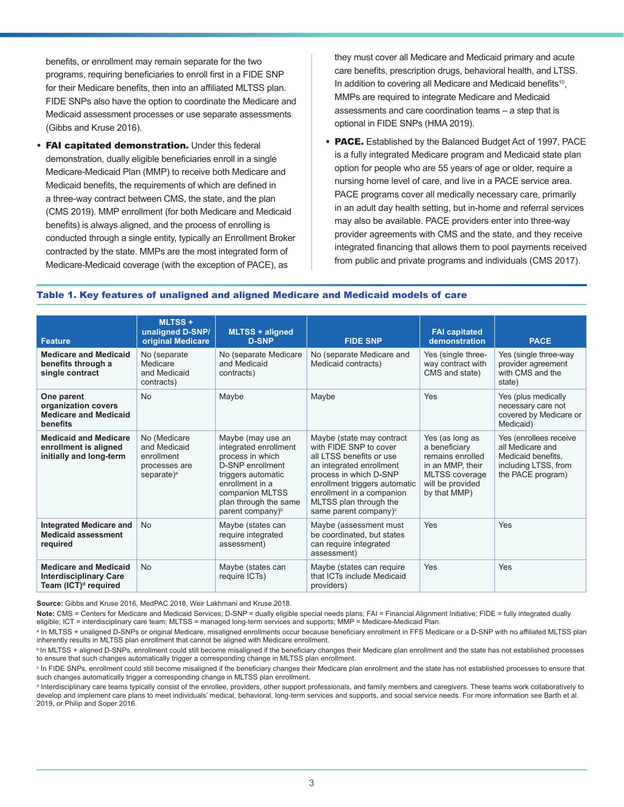<span id="page-2-0"></span>benefits, or enrollment may remain separate for the two programs, requiring beneficiaries to enroll first in a FIDE SNP for their Medicare benefits, then into an affiliated MLTSS plan. FIDE SNPs also have the option to coordinate the Medicare and Medicaid assessment processes or use separate assessments (Gibbs and Kruse 2016).

• FAI capitated demonstration. Under this federal demonstration, dually eligible beneficiaries enroll in a single Medicare-Medicaid Plan (MMP) to receive both Medicare and Medicaid benefits, the requirements of which are defined in a three-way contract between CMS, the state, and the plan (CMS 2019). MMP enrollment (for both Medicare and Medicaid benefits) is always aligned, and the process of enrolling is conducted through a single entity, typically an Enrollment Broker contracted by the state. MMPs are the most integrated form of Medicare-Medicaid coverage (with the exception of PACE), as

they must cover all Medicare and Medicaid primary and acute care benefits, prescription drugs, behavioral health, and LTSS. In addition to covering all Medicare and Medicaid benefits<sup>[10](#page-13-0)</sup>, MMPs are required to integrate Medicare and Medicaid assessments and care coordination teams – a step that is optional in FIDE SNPs (HMA 2019).

• PACE. Established by the Balanced Budget Act of 1997, PACE is a fully integrated Medicare program and Medicaid state plan option for people who are 55 years of age or older, require a nursing home level of care, and live in a PACE service area. PACE programs cover all medically necessary care, primarily in an adult day health setting, but in-home and referral services may also be available. PACE providers enter into three-way provider agreements with CMS and the state, and they receive integrated financing that allows them to pool payments received from public and private programs and individuals (CMS 2017).

#### Table 1. Key features of unaligned and aligned Medicare and Medicaid models of care

| <b>Feature</b>                                                                                    | <b>MLTSS+</b><br>unaligned D-SNP/<br>original Medicare                        | <b>MLTSS + aligned</b><br><b>D-SNP</b>                                                                                                                                                                  | <b>FIDE SNP</b>                                                                                                                                                                                                                                               | <b>FAI capitated</b><br>demonstration                                                                                                 | <b>PACE</b>                                                                                                   |
|---------------------------------------------------------------------------------------------------|-------------------------------------------------------------------------------|---------------------------------------------------------------------------------------------------------------------------------------------------------------------------------------------------------|---------------------------------------------------------------------------------------------------------------------------------------------------------------------------------------------------------------------------------------------------------------|---------------------------------------------------------------------------------------------------------------------------------------|---------------------------------------------------------------------------------------------------------------|
| <b>Medicare and Medicaid</b><br>benefits through a<br>single contract                             | No (separate<br>Medicare<br>and Medicaid<br>contracts)                        | No (separate Medicare<br>and Medicaid<br>contracts)                                                                                                                                                     | No (separate Medicare and<br>Medicaid contracts)                                                                                                                                                                                                              | Yes (single three-<br>way contract with<br>CMS and state)                                                                             | Yes (single three-way<br>provider agreement<br>with CMS and the<br>state)                                     |
| One parent<br>organization covers<br><b>Medicare and Medicaid</b><br>benefits                     | No                                                                            | Maybe                                                                                                                                                                                                   | Maybe                                                                                                                                                                                                                                                         | Yes                                                                                                                                   | Yes (plus medically<br>necessary care not<br>covered by Medicare or<br>Medicaid)                              |
| <b>Medicaid and Medicare</b><br>enrollment is aligned<br>initially and long-term                  | No (Medicare<br>and Medicaid<br>enrollment<br>processes are<br>separate $)^a$ | Maybe (may use an<br>integrated enrollment<br>process in which<br>D-SNP enrollment<br>triggers automatic<br>enrollment in a<br>companion MLTSS<br>plan through the same<br>parent company) <sup>b</sup> | Maybe (state may contract<br>with FIDE SNP to cover<br>all LTSS benefits or use<br>an integrated enrollment<br>process in which D-SNP<br>enrollment triggers automatic<br>enrollment in a companion<br>MLTSS plan through the<br>same parent company) $\circ$ | Yes (as long as<br>a beneficiary<br>remains enrolled<br>in an MMP, their<br><b>MLTSS</b> coverage<br>will be provided<br>by that MMP) | Yes (enrollees receive<br>all Medicare and<br>Medicaid benefits.<br>including LTSS, from<br>the PACE program) |
| <b>Integrated Medicare and</b><br><b>Medicaid assessment</b><br>required                          | <b>No</b>                                                                     | Maybe (states can<br>require integrated<br>assessment)                                                                                                                                                  | Maybe (assessment must<br>be coordinated, but states<br>can require integrated<br>assessment)                                                                                                                                                                 | Yes                                                                                                                                   | Yes                                                                                                           |
| <b>Medicare and Medicaid</b><br><b>Interdisciplinary Care</b><br>Team (ICT) <sup>d</sup> required | No                                                                            | Maybe (states can<br>require ICTs)                                                                                                                                                                      | Maybe (states can require<br>that ICTs include Medicaid<br>providers)                                                                                                                                                                                         | Yes                                                                                                                                   | Yes                                                                                                           |

**Source:** Gibbs and Kruse 2016, MedPAC 2018, Weir Lakhmani and Kruse 2018.

**Note:** CMS = Centers for Medicare and Medicaid Services; D-SNP = dually eligible special needs plans; FAI = Financial Alignment Initiative; FIDE = fully integrated dually eligible; ICT = interdisciplinary care team; MLTSS = managed long-term services and supports; MMP = Medicare-Medicaid Plan.

a In MLTSS + unaligned D-SNPs or original Medicare, misaligned enrollments occur because beneficiary enrollment in FFS Medicare or a D-SNP with no affiliated MLTSS plan inherently results in MLTSS plan enrollment that cannot be aligned with Medicare enrollment.

**bIn MLTSS + aligned D-SNPs, enrollment could still become misaligned if the beneficiary changes their Medicare plan enrollment and the state has not established processes** to ensure that such changes automatically trigger a corresponding change in MLTSS plan enrollment.

° In FIDE SNPs, enrollment could still become misaligned if the beneficiary changes their Medicare plan enrollment and the state has not established processes to ensure that such changes automatically trigger a corresponding change in MLTSS plan enrollment.

d Interdisciplinary care teams typically consist of the enrollee, providers, other support professionals, and family members and caregivers. These teams work collaboratively to develop and implement care plans to meet individuals' medical, behavioral, long-term services and supports, and social service needs. For more information see Barth et al. 2019, or Philip and Soper 2016.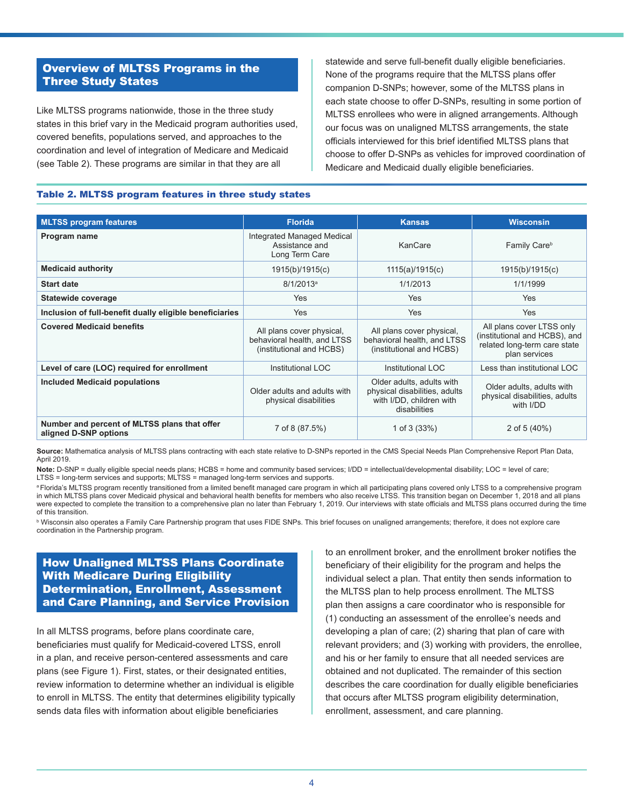# Overview of MLTSS Programs in the Three Study States

Like MLTSS programs nationwide, those in the three study states in this brief vary in the Medicaid program authorities used, covered benefits, populations served, and approaches to the coordination and level of integration of Medicare and Medicaid (see Table 2). These programs are similar in that they are all

statewide and serve full-benefit dually eligible beneficiaries. None of the programs require that the MLTSS plans offer companion D-SNPs; however, some of the MLTSS plans in each state choose to offer D-SNPs, resulting in some portion of MLTSS enrollees who were in aligned arrangements. Although our focus was on unaligned MLTSS arrangements, the state officials interviewed for this brief identified MLTSS plans that choose to offer D-SNPs as vehicles for improved coordination of Medicare and Medicaid dually eligible beneficiaries.

#### Table 2. MLTSS program features in three study states

| <b>MLTSS program features</b>                                         | <b>Florida</b>                                                                       | <b>Kansas</b>                                                                                          | <b>Wisconsin</b>                                                                                            |
|-----------------------------------------------------------------------|--------------------------------------------------------------------------------------|--------------------------------------------------------------------------------------------------------|-------------------------------------------------------------------------------------------------------------|
| Program name                                                          | Integrated Managed Medical<br>Assistance and<br>Long Term Care                       | KanCare                                                                                                | Family Care <sup>b</sup>                                                                                    |
| <b>Medicaid authority</b>                                             | 1915(b)/1915(c)                                                                      | 1115(a)/1915(c)                                                                                        | 1915(b)/1915(c)                                                                                             |
| <b>Start date</b>                                                     | $8/1/2013^a$                                                                         | 1/1/2013                                                                                               | 1/1/1999                                                                                                    |
| Statewide coverage                                                    | Yes                                                                                  | <b>Yes</b>                                                                                             | <b>Yes</b>                                                                                                  |
| Inclusion of full-benefit dually eligible beneficiaries               | Yes                                                                                  | Yes                                                                                                    | Yes                                                                                                         |
| <b>Covered Medicaid benefits</b>                                      | All plans cover physical,<br>behavioral health, and LTSS<br>(institutional and HCBS) | All plans cover physical,<br>behavioral health, and LTSS<br>(institutional and HCBS)                   | All plans cover LTSS only<br>(institutional and HCBS), and<br>related long-term care state<br>plan services |
| Level of care (LOC) required for enrollment                           | Institutional LOC                                                                    | Institutional LOC                                                                                      | Less than institutional LOC                                                                                 |
| <b>Included Medicaid populations</b>                                  | Older adults and adults with<br>physical disabilities                                | Older adults, adults with<br>physical disabilities, adults<br>with I/DD, children with<br>disabilities | Older adults, adults with<br>physical disabilities, adults<br>with I/DD                                     |
| Number and percent of MLTSS plans that offer<br>aligned D-SNP options | 7 of 8 (87.5%)                                                                       | 1 of $3(33%)$                                                                                          | 2 of 5 (40%)                                                                                                |

**Source:** Mathematica analysis of MLTSS plans contracting with each state relative to D-SNPs reported in the CMS Special Needs Plan Comprehensive Report Plan Data, April 2019.

**Note:** D-SNP = dually eligible special needs plans; HCBS = home and community based services; I/DD = intellectual/developmental disability; LOC = level of care; LTSS = long-term services and supports; MLTSS = managed long-term services and supports.

a Florida's MLTSS program recently transitioned from a limited benefit managed care program in which all participating plans covered only LTSS to a comprehensive program in which MLTSS plans cover Medicaid physical and behavioral health benefits for members who also receive LTSS. This transition began on December 1, 2018 and all plans were expected to complete the transition to a comprehensive plan no later than February 1, 2019. Our interviews with state officials and MLTSS plans occurred during the time of this transition.

<sup>ь</sup> Wisconsin also operates a Family Care Partnership program that uses FIDE SNPs. This brief focuses on unaligned arrangements; therefore, it does not explore care coordination in the Partnership program.

# How Unaligned MLTSS Plans Coordinate With Medicare During Eligibility Determination, Enrollment, Assessment and Care Planning, and Service Provision

In all MLTSS programs, before plans coordinate care, beneficiaries must qualify for Medicaid-covered LTSS, enroll in a plan, and receive person-centered assessments and care plans (see Figure 1). First, states, or their designated entities, review information to determine whether an individual is eligible to enroll in MLTSS. The entity that determines eligibility typically sends data files with information about eligible beneficiaries

to an enrollment broker, and the enrollment broker notifies the beneficiary of their eligibility for the program and helps the individual select a plan. That entity then sends information to the MLTSS plan to help process enrollment. The MLTSS plan then assigns a care coordinator who is responsible for (1) conducting an assessment of the enrollee's needs and developing a plan of care; (2) sharing that plan of care with relevant providers; and (3) working with providers, the enrollee, and his or her family to ensure that all needed services are obtained and not duplicated. The remainder of this section describes the care coordination for dually eligible beneficiaries that occurs after MLTSS program eligibility determination, enrollment, assessment, and care planning.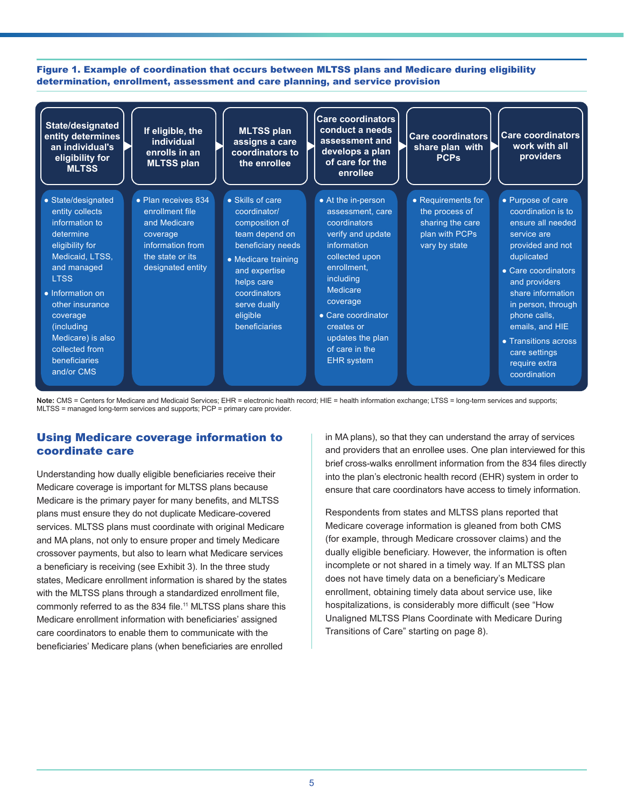<span id="page-4-0"></span>Figure 1. Example of coordination that occurs between MLTSS plans and Medicare during eligibility determination, enrollment, assessment and care planning, and service provision

| State/designated<br>entity determines<br>an individual's<br>eligibility for<br><b>MLTSS</b>                                                                                                                                                                                      | If eligible, the<br>individual<br>enrolls in an<br><b>MLTSS plan</b>                                                            | <b>MLTSS plan</b><br>assigns a care<br>coordinators to<br>the enrollee                                                                                                                                       | <b>Care coordinators</b><br>conduct a needs<br>assessment and<br>develops a plan<br>of care for the<br>enrollee                                                                                                                                                 | Care coordinators<br>share plan with<br><b>PCPs</b>                                         | Care coordinators<br>work with all<br>providers                                                                                                                                                                                                                                                               |
|----------------------------------------------------------------------------------------------------------------------------------------------------------------------------------------------------------------------------------------------------------------------------------|---------------------------------------------------------------------------------------------------------------------------------|--------------------------------------------------------------------------------------------------------------------------------------------------------------------------------------------------------------|-----------------------------------------------------------------------------------------------------------------------------------------------------------------------------------------------------------------------------------------------------------------|---------------------------------------------------------------------------------------------|---------------------------------------------------------------------------------------------------------------------------------------------------------------------------------------------------------------------------------------------------------------------------------------------------------------|
| • State/designated<br>entity collects<br>information to<br>determine<br>eligibility for<br>Medicaid, LTSS,<br>and managed<br><b>LTSS</b><br>• Information on<br>other insurance<br>coverage<br>(including)<br>Medicare) is also<br>collected from<br>beneficiaries<br>and/or CMS | • Plan receives 834<br>enrollment file<br>and Medicare<br>coverage<br>information from<br>the state or its<br>designated entity | • Skills of care<br>coordinator/<br>composition of<br>team depend on<br>beneficiary needs<br>• Medicare training<br>and expertise<br>helps care<br>coordinators<br>serve dually<br>eligible<br>beneficiaries | • At the in-person<br>assessment. care<br>coordinators<br>verify and update<br>information<br>collected upon<br>enrollment,<br>including<br>Medicare<br>coverage<br>• Care coordinator<br>creates or<br>updates the plan<br>of care in the<br><b>EHR</b> system | • Requirements for<br>the process of<br>sharing the care<br>plan with PCPs<br>vary by state | • Purpose of care<br>coordination is to<br>ensure all needed<br>service are<br>provided and not<br>duplicated<br>• Care coordinators<br>and providers<br>share information<br>in person, through<br>phone calls,<br>emails, and HIE<br>• Transitions across<br>care settings<br>require extra<br>coordination |

Note: CMS = Centers for Medicare and Medicaid Services; EHR = electronic health record; HIE = health information exchange; LTSS = long-term services and supports; MLTSS = managed long-term services and supports; PCP = primary care provider.

## Using Medicare coverage information to coordinate care

Understanding how dually eligible beneficiaries receive their Medicare coverage is important for MLTSS plans because Medicare is the primary payer for many benefits, and MLTSS plans must ensure they do not duplicate Medicare-covered services. MLTSS plans must coordinate with original Medicare and MA plans, not only to ensure proper and timely Medicare crossover payments, but also to learn what Medicare services a beneficiary is receiving (see Exhibit 3). In the three study states, Medicare enrollment information is shared by the states with the MLTSS plans through a standardized enrollment file, commonly referred to as the 834 file.<sup>11</sup> MLTSS plans share this Medicare enrollment information with beneficiaries' assigned care coordinators to enable them to communicate with the beneficiaries' Medicare plans (when beneficiaries are enrolled

in MA plans), so that they can understand the array of services and providers that an enrollee uses. One plan interviewed for this brief cross-walks enrollment information from the 834 files directly into the plan's electronic health record (EHR) system in order to ensure that care coordinators have access to timely information.

Respondents from states and MLTSS plans reported that Medicare coverage information is gleaned from both CMS (for example, through Medicare crossover claims) and the dually eligible beneficiary. However, the information is often incomplete or not shared in a timely way. If an MLTSS plan does not have timely data on a beneficiary's Medicare enrollment, obtaining timely data about service use, like hospitalizations, is considerably more difficult (see "How Unaligned MLTSS Plans Coordinate with Medicare During Transitions of Care" starting on page 8).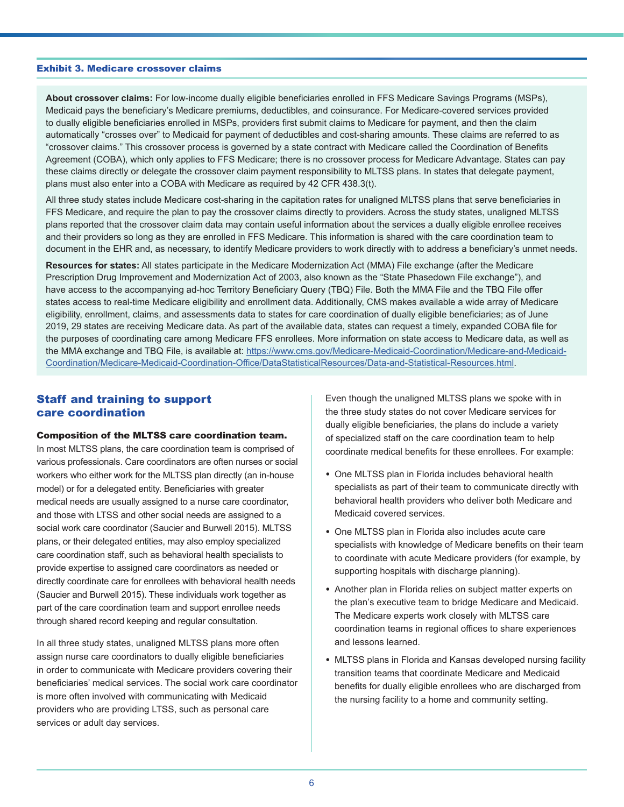#### Exhibit 3. Medicare crossover claims

**About crossover claims:** For low-income dually eligible beneficiaries enrolled in FFS Medicare Savings Programs (MSPs), Medicaid pays the beneficiary's Medicare premiums, deductibles, and coinsurance. For Medicare-covered services provided to dually eligible beneficiaries enrolled in MSPs, providers first submit claims to Medicare for payment, and then the claim automatically "crosses over" to Medicaid for payment of deductibles and cost-sharing amounts. These claims are referred to as "crossover claims." This crossover process is governed by a state contract with Medicare called the Coordination of Benefits Agreement (COBA), which only applies to FFS Medicare; there is no crossover process for Medicare Advantage. States can pay these claims directly or delegate the crossover claim payment responsibility to MLTSS plans. In states that delegate payment, plans must also enter into a COBA with Medicare as required by 42 CFR 438.3(t).

All three study states include Medicare cost-sharing in the capitation rates for unaligned MLTSS plans that serve beneficiaries in FFS Medicare, and require the plan to pay the crossover claims directly to providers. Across the study states, unaligned MLTSS plans reported that the crossover claim data may contain useful information about the services a dually eligible enrollee receives and their providers so long as they are enrolled in FFS Medicare. This information is shared with the care coordination team to document in the EHR and, as necessary, to identify Medicare providers to work directly with to address a beneficiary's unmet needs.

**Resources for states:** All states participate in the Medicare Modernization Act (MMA) File exchange (after the Medicare Prescription Drug Improvement and Modernization Act of 2003, also known as the "State Phasedown File exchange"), and have access to the accompanying ad-hoc Territory Beneficiary Query (TBQ) File. Both the MMA File and the TBQ File offer states access to real-time Medicare eligibility and enrollment data. Additionally, CMS makes available a wide array of Medicare eligibility, enrollment, claims, and assessments data to states for care coordination of dually eligible beneficiaries; as of June 2019, 29 states are receiving Medicare data. As part of the available data, states can request a timely, expanded COBA file for the purposes of coordinating care among Medicare FFS enrollees. More information on state access to Medicare data, as well as the MMA exchange and TBQ File, is available at: [https://www.cms.gov/Medicare-Medicaid-Coordination/Medicare-and-Medicaid-](https://www.cms.gov/Medicare-Medicaid-Coordination/Medicare-and-Medicaid-Coordination/Medicare-Medicaid-Coordination-Office/DataStatisticalResources/Data-and-Statistical-Resources.html)[Coordination/Medicare-Medicaid-Coordination-Office/DataStatisticalResources/Data-and-Statistical-Resources.html](https://www.cms.gov/Medicare-Medicaid-Coordination/Medicare-and-Medicaid-Coordination/Medicare-Medicaid-Coordination-Office/DataStatisticalResources/Data-and-Statistical-Resources.html).

#### Staff and training to support care coordination

#### Composition of the MLTSS care coordination team.

In most MLTSS plans, the care coordination team is comprised of various professionals. Care coordinators are often nurses or social workers who either work for the MLTSS plan directly (an in-house model) or for a delegated entity. Beneficiaries with greater medical needs are usually assigned to a nurse care coordinator, and those with LTSS and other social needs are assigned to a social work care coordinator (Saucier and Burwell 2015). MLTSS plans, or their delegated entities, may also employ specialized care coordination staff, such as behavioral health specialists to provide expertise to assigned care coordinators as needed or directly coordinate care for enrollees with behavioral health needs (Saucier and Burwell 2015). These individuals work together as part of the care coordination team and support enrollee needs through shared record keeping and regular consultation.

In all three study states, unaligned MLTSS plans more often assign nurse care coordinators to dually eligible beneficiaries in order to communicate with Medicare providers covering their beneficiaries' medical services. The social work care coordinator is more often involved with communicating with Medicaid providers who are providing LTSS, such as personal care services or adult day services.

Even though the unaligned MLTSS plans we spoke with in the three study states do not cover Medicare services for dually eligible beneficiaries, the plans do include a variety of specialized staff on the care coordination team to help coordinate medical benefits for these enrollees. For example:

- One MLTSS plan in Florida includes behavioral health specialists as part of their team to communicate directly with behavioral health providers who deliver both Medicare and Medicaid covered services.
- One MLTSS plan in Florida also includes acute care specialists with knowledge of Medicare benefits on their team to coordinate with acute Medicare providers (for example, by supporting hospitals with discharge planning).
- Another plan in Florida relies on subject matter experts on the plan's executive team to bridge Medicare and Medicaid. The Medicare experts work closely with MLTSS care coordination teams in regional offices to share experiences and lessons learned.
- MLTSS plans in Florida and Kansas developed nursing facility transition teams that coordinate Medicare and Medicaid benefits for dually eligible enrollees who are discharged from the nursing facility to a home and community setting.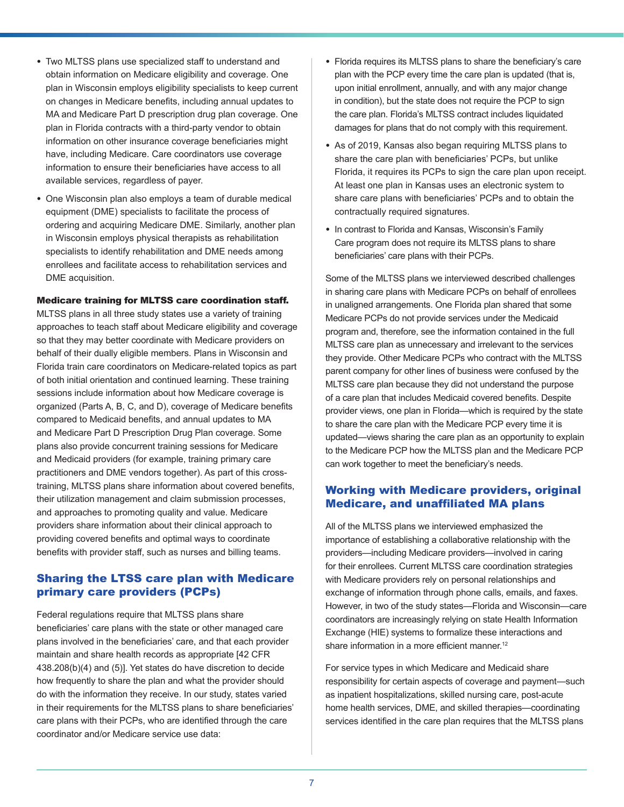- <span id="page-6-0"></span>• Two MLTSS plans use specialized staff to understand and obtain information on Medicare eligibility and coverage. One plan in Wisconsin employs eligibility specialists to keep current on changes in Medicare benefits, including annual updates to MA and Medicare Part D prescription drug plan coverage. One plan in Florida contracts with a third-party vendor to obtain information on other insurance coverage beneficiaries might have, including Medicare. Care coordinators use coverage information to ensure their beneficiaries have access to all available services, regardless of payer.
- One Wisconsin plan also employs a team of durable medical equipment (DME) specialists to facilitate the process of ordering and acquiring Medicare DME. Similarly, another plan in Wisconsin employs physical therapists as rehabilitation specialists to identify rehabilitation and DME needs among enrollees and facilitate access to rehabilitation services and DME acquisition.

#### Medicare training for MLTSS care coordination staff.

MLTSS plans in all three study states use a variety of training approaches to teach staff about Medicare eligibility and coverage so that they may better coordinate with Medicare providers on behalf of their dually eligible members. Plans in Wisconsin and Florida train care coordinators on Medicare-related topics as part of both initial orientation and continued learning. These training sessions include information about how Medicare coverage is organized (Parts A, B, C, and D), coverage of Medicare benefits compared to Medicaid benefits, and annual updates to MA and Medicare Part D Prescription Drug Plan coverage. Some plans also provide concurrent training sessions for Medicare and Medicaid providers (for example, training primary care practitioners and DME vendors together). As part of this crosstraining, MLTSS plans share information about covered benefits, their utilization management and claim submission processes, and approaches to promoting quality and value. Medicare providers share information about their clinical approach to providing covered benefits and optimal ways to coordinate benefits with provider staff, such as nurses and billing teams.

## Sharing the LTSS care plan with Medicare primary care providers (PCPs)

Federal regulations require that MLTSS plans share beneficiaries' care plans with the state or other managed care plans involved in the beneficiaries' care, and that each provider maintain and share health records as appropriate [42 CFR 438.208(b)(4) and (5)]. Yet states do have discretion to decide how frequently to share the plan and what the provider should do with the information they receive. In our study, states varied in their requirements for the MLTSS plans to share beneficiaries' care plans with their PCPs, who are identified through the care coordinator and/or Medicare service use data:

- Florida requires its MLTSS plans to share the beneficiary's care plan with the PCP every time the care plan is updated (that is, upon initial enrollment, annually, and with any major change in condition), but the state does not require the PCP to sign the care plan. Florida's MLTSS contract includes liquidated damages for plans that do not comply with this requirement.
- As of 2019, Kansas also began requiring MLTSS plans to share the care plan with beneficiaries' PCPs, but unlike Florida, it requires its PCPs to sign the care plan upon receipt. At least one plan in Kansas uses an electronic system to share care plans with beneficiaries' PCPs and to obtain the contractually required signatures.
- In contrast to Florida and Kansas, Wisconsin's Family Care program does not require its MLTSS plans to share beneficiaries' care plans with their PCPs.

Some of the MLTSS plans we interviewed described challenges in sharing care plans with Medicare PCPs on behalf of enrollees in unaligned arrangements. One Florida plan shared that some Medicare PCPs do not provide services under the Medicaid program and, therefore, see the information contained in the full MLTSS care plan as unnecessary and irrelevant to the services they provide. Other Medicare PCPs who contract with the MLTSS parent company for other lines of business were confused by the MLTSS care plan because they did not understand the purpose of a care plan that includes Medicaid covered benefits. Despite provider views, one plan in Florida—which is required by the state to share the care plan with the Medicare PCP every time it is updated—views sharing the care plan as an opportunity to explain to the Medicare PCP how the MLTSS plan and the Medicare PCP can work together to meet the beneficiary's needs.

### Working with Medicare providers, original Medicare, and unaffiliated MA plans

All of the MLTSS plans we interviewed emphasized the importance of establishing a collaborative relationship with the providers—including Medicare providers—involved in caring for their enrollees. Current MLTSS care coordination strategies with Medicare providers rely on personal relationships and exchange of information through phone calls, emails, and faxes. However, in two of the study states—Florida and Wisconsin—care coordinators are increasingly relying on state Health Information Exchange (HIE) systems to formalize these interactions and share information in a more efficient manner.<sup>[12](#page-13-0)</sup>

For service types in which Medicare and Medicaid share responsibility for certain aspects of coverage and payment—such as inpatient hospitalizations, skilled nursing care, post-acute home health services, DME, and skilled therapies—coordinating services identified in the care plan requires that the MLTSS plans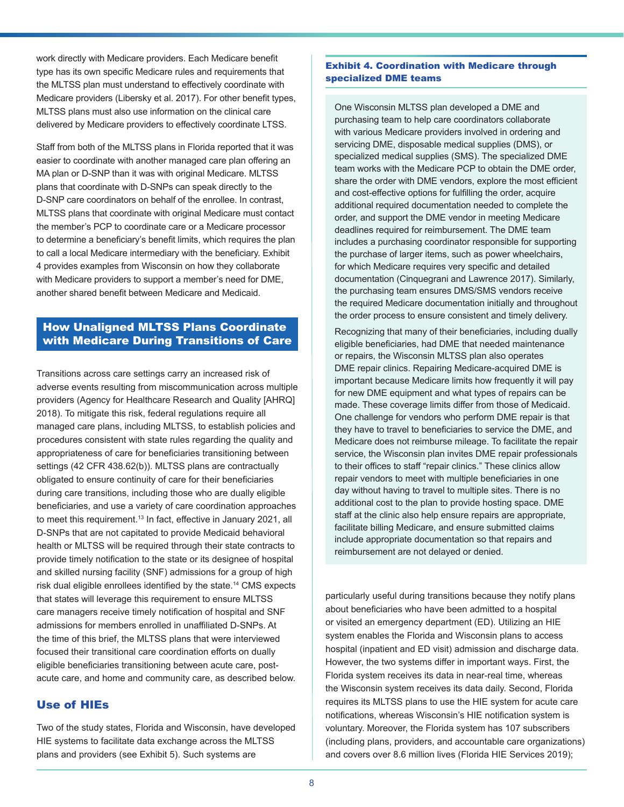<span id="page-7-0"></span>work directly with Medicare providers. Each Medicare benefit type has its own specific Medicare rules and requirements that the MLTSS plan must understand to effectively coordinate with Medicare providers (Libersky et al. 2017). For other benefit types, MLTSS plans must also use information on the clinical care delivered by Medicare providers to effectively coordinate LTSS.

Staff from both of the MLTSS plans in Florida reported that it was easier to coordinate with another managed care plan offering an MA plan or D-SNP than it was with original Medicare. MLTSS plans that coordinate with D-SNPs can speak directly to the D-SNP care coordinators on behalf of the enrollee. In contrast, MLTSS plans that coordinate with original Medicare must contact the member's PCP to coordinate care or a Medicare processor to determine a beneficiary's benefit limits, which requires the plan to call a local Medicare intermediary with the beneficiary. Exhibit 4 provides examples from Wisconsin on how they collaborate with Medicare providers to support a member's need for DME, another shared benefit between Medicare and Medicaid.

# How Unaligned MLTSS Plans Coordinate with Medicare During Transitions of Care

Transitions across care settings carry an increased risk of adverse events resulting from miscommunication across multiple providers (Agency for Healthcare Research and Quality [AHRQ] 2018). To mitigate this risk, federal regulations require all managed care plans, including MLTSS, to establish policies and procedures consistent with state rules regarding the quality and appropriateness of care for beneficiaries transitioning between settings (42 CFR 438.62(b)). MLTSS plans are contractually obligated to ensure continuity of care for their beneficiaries during care transitions, including those who are dually eligible beneficiaries, and use a variety of care coordination approaches to meet this requirement.<sup>[13](#page-13-0)</sup> In fact, effective in January 2021, all D-SNPs that are not capitated to provide Medicaid behavioral health or MLTSS will be required through their state contracts to provide timely notification to the state or its designee of hospital and skilled nursing facility (SNF) admissions for a group of high risk dual eligible enrollees identified by the state.[14](#page-13-0) CMS expects that states will leverage this requirement to ensure MLTSS care managers receive timely notification of hospital and SNF admissions for members enrolled in unaffiliated D-SNPs. At the time of this brief, the MLTSS plans that were interviewed focused their transitional care coordination efforts on dually eligible beneficiaries transitioning between acute care, postacute care, and home and community care, as described below.

## Use of HIEs

Two of the study states, Florida and Wisconsin, have developed HIE systems to facilitate data exchange across the MLTSS plans and providers (see Exhibit 5). Such systems are

#### Exhibit 4. Coordination with Medicare through specialized DME teams

One Wisconsin MLTSS plan developed a DME and purchasing team to help care coordinators collaborate with various Medicare providers involved in ordering and servicing DME, disposable medical supplies (DMS), or specialized medical supplies (SMS). The specialized DME team works with the Medicare PCP to obtain the DME order, share the order with DME vendors, explore the most efficient and cost-effective options for fulfilling the order, acquire additional required documentation needed to complete the order, and support the DME vendor in meeting Medicare deadlines required for reimbursement. The DME team includes a purchasing coordinator responsible for supporting the purchase of larger items, such as power wheelchairs, for which Medicare requires very specific and detailed documentation (Cinquegrani and Lawrence 2017). Similarly, the purchasing team ensures DMS/SMS vendors receive the required Medicare documentation initially and throughout the order process to ensure consistent and timely delivery.

Recognizing that many of their beneficiaries, including dually eligible beneficiaries, had DME that needed maintenance or repairs, the Wisconsin MLTSS plan also operates DME repair clinics. Repairing Medicare-acquired DME is important because Medicare limits how frequently it will pay for new DME equipment and what types of repairs can be made. These coverage limits differ from those of Medicaid. One challenge for vendors who perform DME repair is that they have to travel to beneficiaries to service the DME, and Medicare does not reimburse mileage. To facilitate the repair service, the Wisconsin plan invites DME repair professionals to their offices to staff "repair clinics." These clinics allow repair vendors to meet with multiple beneficiaries in one day without having to travel to multiple sites. There is no additional cost to the plan to provide hosting space. DME staff at the clinic also help ensure repairs are appropriate, facilitate billing Medicare, and ensure submitted claims include appropriate documentation so that repairs and reimbursement are not delayed or denied.

particularly useful during transitions because they notify plans about beneficiaries who have been admitted to a hospital or visited an emergency department (ED). Utilizing an HIE system enables the Florida and Wisconsin plans to access hospital (inpatient and ED visit) admission and discharge data. However, the two systems differ in important ways. First, the Florida system receives its data in near-real time, whereas the Wisconsin system receives its data daily. Second, Florida requires its MLTSS plans to use the HIE system for acute care notifications, whereas Wisconsin's HIE notification system is voluntary. Moreover, the Florida system has 107 subscribers (including plans, providers, and accountable care organizations) and covers over 8.6 million lives (Florida HIE Services 2019);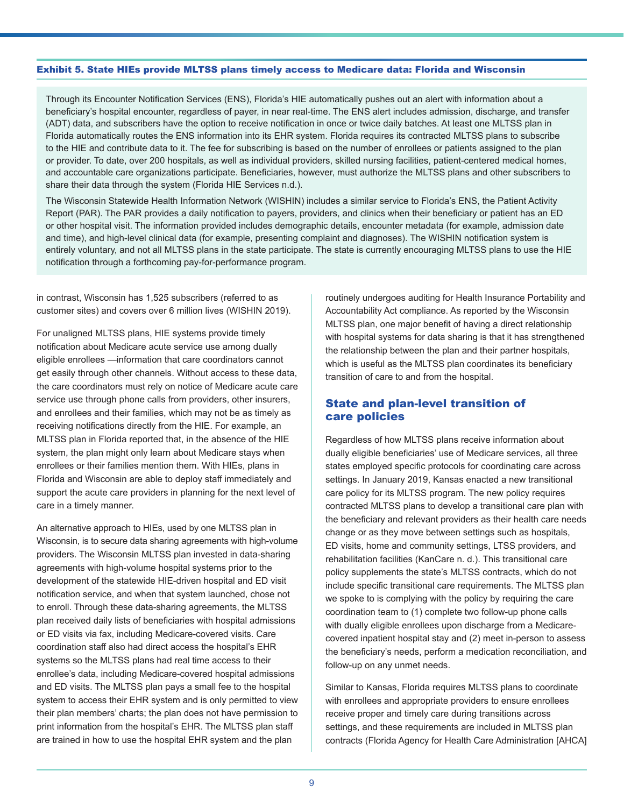#### Exhibit 5. State HIEs provide MLTSS plans timely access to Medicare data: Florida and Wisconsin

Through its Encounter Notification Services (ENS), Florida's HIE automatically pushes out an alert with information about a beneficiary's hospital encounter, regardless of payer, in near real-time. The ENS alert includes admission, discharge, and transfer (ADT) data, and subscribers have the option to receive notification in once or twice daily batches. At least one MLTSS plan in Florida automatically routes the ENS information into its EHR system. Florida requires its contracted MLTSS plans to subscribe to the HIE and contribute data to it. The fee for subscribing is based on the number of enrollees or patients assigned to the plan or provider. To date, over 200 hospitals, as well as individual providers, skilled nursing facilities, patient-centered medical homes, and accountable care organizations participate. Beneficiaries, however, must authorize the MLTSS plans and other subscribers to share their data through the system (Florida HIE Services n.d.).

The Wisconsin Statewide Health Information Network (WISHIN) includes a similar service to Florida's ENS, the Patient Activity Report (PAR). The PAR provides a daily notification to payers, providers, and clinics when their beneficiary or patient has an ED or other hospital visit. The information provided includes demographic details, encounter metadata (for example, admission date and time), and high-level clinical data (for example, presenting complaint and diagnoses). The WISHIN notification system is entirely voluntary, and not all MLTSS plans in the state participate. The state is currently encouraging MLTSS plans to use the HIE notification through a forthcoming pay-for-performance program.

in contrast, Wisconsin has 1,525 subscribers (referred to as customer sites) and covers over 6 million lives (WISHIN 2019).

For unaligned MLTSS plans, HIE systems provide timely notification about Medicare acute service use among dually eligible enrollees —information that care coordinators cannot get easily through other channels. Without access to these data, the care coordinators must rely on notice of Medicare acute care service use through phone calls from providers, other insurers, and enrollees and their families, which may not be as timely as receiving notifications directly from the HIE. For example, an MLTSS plan in Florida reported that, in the absence of the HIE system, the plan might only learn about Medicare stays when enrollees or their families mention them. With HIEs, plans in Florida and Wisconsin are able to deploy staff immediately and support the acute care providers in planning for the next level of care in a timely manner.

An alternative approach to HIEs, used by one MLTSS plan in Wisconsin, is to secure data sharing agreements with high-volume providers. The Wisconsin MLTSS plan invested in data-sharing agreements with high-volume hospital systems prior to the development of the statewide HIE-driven hospital and ED visit notification service, and when that system launched, chose not to enroll. Through these data-sharing agreements, the MLTSS plan received daily lists of beneficiaries with hospital admissions or ED visits via fax, including Medicare-covered visits. Care coordination staff also had direct access the hospital's EHR systems so the MLTSS plans had real time access to their enrollee's data, including Medicare-covered hospital admissions and ED visits. The MLTSS plan pays a small fee to the hospital system to access their EHR system and is only permitted to view their plan members' charts; the plan does not have permission to print information from the hospital's EHR. The MLTSS plan staff are trained in how to use the hospital EHR system and the plan

routinely undergoes auditing for Health Insurance Portability and Accountability Act compliance. As reported by the Wisconsin MLTSS plan, one major benefit of having a direct relationship with hospital systems for data sharing is that it has strengthened the relationship between the plan and their partner hospitals, which is useful as the MLTSS plan coordinates its beneficiary transition of care to and from the hospital.

### State and plan-level transition of care policies

Regardless of how MLTSS plans receive information about dually eligible beneficiaries' use of Medicare services, all three states employed specific protocols for coordinating care across settings. In January 2019, Kansas enacted a new transitional care policy for its MLTSS program. The new policy requires contracted MLTSS plans to develop a transitional care plan with the beneficiary and relevant providers as their health care needs change or as they move between settings such as hospitals, ED visits, home and community settings, LTSS providers, and rehabilitation facilities (KanCare n. d.). This transitional care policy supplements the state's MLTSS contracts, which do not include specific transitional care requirements. The MLTSS plan we spoke to is complying with the policy by requiring the care coordination team to (1) complete two follow-up phone calls with dually eligible enrollees upon discharge from a Medicarecovered inpatient hospital stay and (2) meet in-person to assess the beneficiary's needs, perform a medication reconciliation, and follow-up on any unmet needs.

Similar to Kansas, Florida requires MLTSS plans to coordinate with enrollees and appropriate providers to ensure enrollees receive proper and timely care during transitions across settings, and these requirements are included in MLTSS plan contracts (Florida Agency for Health Care Administration [AHCA]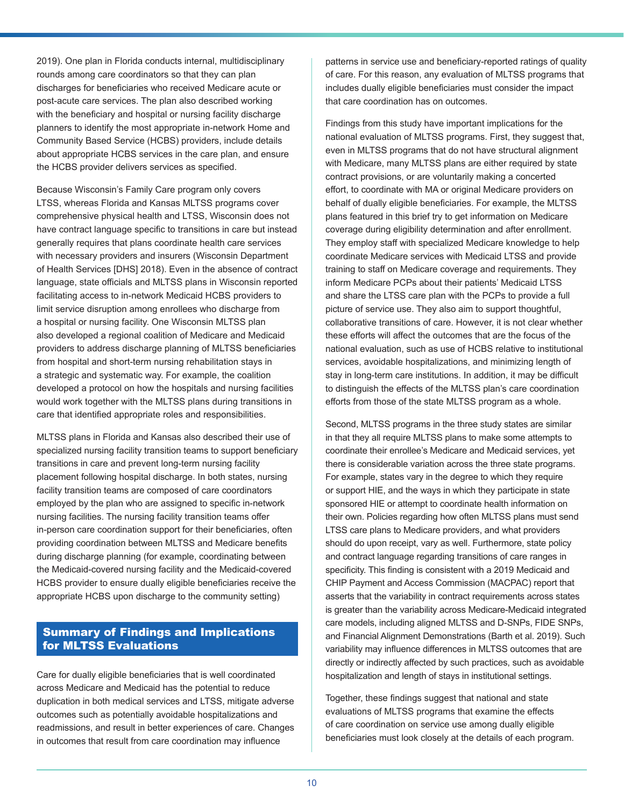2019). One plan in Florida conducts internal, multidisciplinary rounds among care coordinators so that they can plan discharges for beneficiaries who received Medicare acute or post-acute care services. The plan also described working with the beneficiary and hospital or nursing facility discharge planners to identify the most appropriate in-network Home and Community Based Service (HCBS) providers, include details about appropriate HCBS services in the care plan, and ensure the HCBS provider delivers services as specified.

Because Wisconsin's Family Care program only covers LTSS, whereas Florida and Kansas MLTSS programs cover comprehensive physical health and LTSS, Wisconsin does not have contract language specific to transitions in care but instead generally requires that plans coordinate health care services with necessary providers and insurers (Wisconsin Department of Health Services [DHS] 2018). Even in the absence of contract language, state officials and MLTSS plans in Wisconsin reported facilitating access to in-network Medicaid HCBS providers to limit service disruption among enrollees who discharge from a hospital or nursing facility. One Wisconsin MLTSS plan also developed a regional coalition of Medicare and Medicaid providers to address discharge planning of MLTSS beneficiaries from hospital and short-term nursing rehabilitation stays in a strategic and systematic way. For example, the coalition developed a protocol on how the hospitals and nursing facilities would work together with the MLTSS plans during transitions in care that identified appropriate roles and responsibilities.

MLTSS plans in Florida and Kansas also described their use of specialized nursing facility transition teams to support beneficiary transitions in care and prevent long-term nursing facility placement following hospital discharge. In both states, nursing facility transition teams are composed of care coordinators employed by the plan who are assigned to specific in-network nursing facilities. The nursing facility transition teams offer in-person care coordination support for their beneficiaries, often providing coordination between MLTSS and Medicare benefits during discharge planning (for example, coordinating between the Medicaid-covered nursing facility and the Medicaid-covered HCBS provider to ensure dually eligible beneficiaries receive the appropriate HCBS upon discharge to the community setting)

## Summary of Findings and Implications for MLTSS Evaluations

Care for dually eligible beneficiaries that is well coordinated across Medicare and Medicaid has the potential to reduce duplication in both medical services and LTSS, mitigate adverse outcomes such as potentially avoidable hospitalizations and readmissions, and result in better experiences of care. Changes in outcomes that result from care coordination may influence

patterns in service use and beneficiary-reported ratings of quality of care. For this reason, any evaluation of MLTSS programs that includes dually eligible beneficiaries must consider the impact that care coordination has on outcomes.

Findings from this study have important implications for the national evaluation of MLTSS programs. First, they suggest that, even in MLTSS programs that do not have structural alignment with Medicare, many MLTSS plans are either required by state contract provisions, or are voluntarily making a concerted effort, to coordinate with MA or original Medicare providers on behalf of dually eligible beneficiaries. For example, the MLTSS plans featured in this brief try to get information on Medicare coverage during eligibility determination and after enrollment. They employ staff with specialized Medicare knowledge to help coordinate Medicare services with Medicaid LTSS and provide training to staff on Medicare coverage and requirements. They inform Medicare PCPs about their patients' Medicaid LTSS and share the LTSS care plan with the PCPs to provide a full picture of service use. They also aim to support thoughtful, collaborative transitions of care. However, it is not clear whether these efforts will affect the outcomes that are the focus of the national evaluation, such as use of HCBS relative to institutional services, avoidable hospitalizations, and minimizing length of stay in long-term care institutions. In addition, it may be difficult to distinguish the effects of the MLTSS plan's care coordination efforts from those of the state MLTSS program as a whole.

Second, MLTSS programs in the three study states are similar in that they all require MLTSS plans to make some attempts to coordinate their enrollee's Medicare and Medicaid services, yet there is considerable variation across the three state programs. For example, states vary in the degree to which they require or support HIE, and the ways in which they participate in state sponsored HIE or attempt to coordinate health information on their own. Policies regarding how often MLTSS plans must send LTSS care plans to Medicare providers, and what providers should do upon receipt, vary as well. Furthermore, state policy and contract language regarding transitions of care ranges in specificity. This finding is consistent with a 2019 Medicaid and CHIP Payment and Access Commission (MACPAC) report that asserts that the variability in contract requirements across states is greater than the variability across Medicare-Medicaid integrated care models, including aligned MLTSS and D-SNPs, FIDE SNPs, and Financial Alignment Demonstrations (Barth et al. 2019). Such variability may influence differences in MLTSS outcomes that are directly or indirectly affected by such practices, such as avoidable hospitalization and length of stays in institutional settings.

Together, these findings suggest that national and state evaluations of MLTSS programs that examine the effects of care coordination on service use among dually eligible beneficiaries must look closely at the details of each program.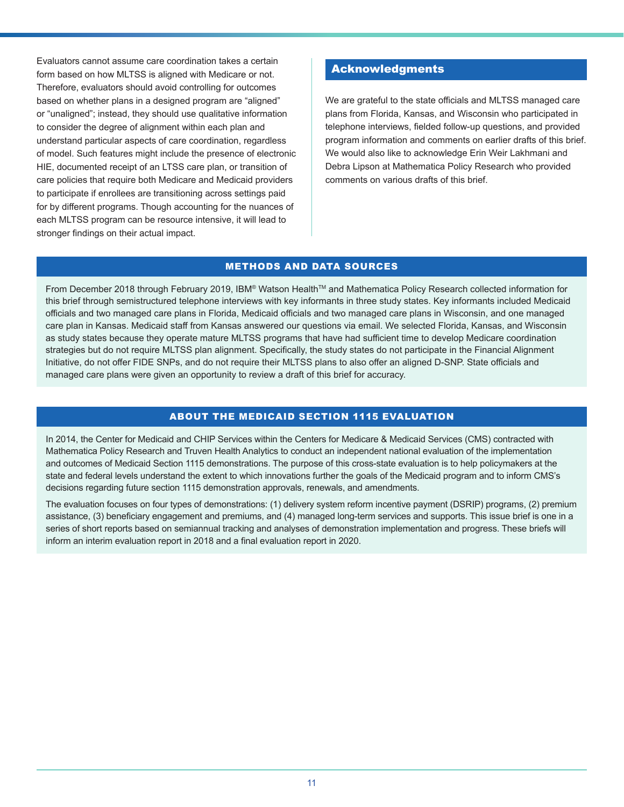Evaluators cannot assume care coordination takes a certain form based on how MLTSS is aligned with Medicare or not. Therefore, evaluators should avoid controlling for outcomes based on whether plans in a designed program are "aligned" or "unaligned"; instead, they should use qualitative information to consider the degree of alignment within each plan and understand particular aspects of care coordination, regardless of model. Such features might include the presence of electronic HIE, documented receipt of an LTSS care plan, or transition of care policies that require both Medicare and Medicaid providers to participate if enrollees are transitioning across settings paid for by different programs. Though accounting for the nuances of each MLTSS program can be resource intensive, it will lead to stronger findings on their actual impact.

## Acknowledgments

We are grateful to the state officials and MLTSS managed care plans from Florida, Kansas, and Wisconsin who participated in telephone interviews, fielded follow-up questions, and provided program information and comments on earlier drafts of this brief. We would also like to acknowledge Erin Weir Lakhmani and Debra Lipson at Mathematica Policy Research who provided comments on various drafts of this brief.

#### METHODS AND DATA SOURCES

From December 2018 through February 2019, IBM® Watson Health™ and Mathematica Policy Research collected information for this brief through semistructured telephone interviews with key informants in three study states. Key informants included Medicaid officials and two managed care plans in Florida, Medicaid officials and two managed care plans in Wisconsin, and one managed care plan in Kansas. Medicaid staff from Kansas answered our questions via email. We selected Florida, Kansas, and Wisconsin as study states because they operate mature MLTSS programs that have had sufficient time to develop Medicare coordination strategies but do not require MLTSS plan alignment. Specifically, the study states do not participate in the Financial Alignment Initiative, do not offer FIDE SNPs, and do not require their MLTSS plans to also offer an aligned D-SNP. State officials and managed care plans were given an opportunity to review a draft of this brief for accuracy.

### ABOUT THE MEDICAID SECTION 1115 EVALUATION

In 2014, the Center for Medicaid and CHIP Services within the Centers for Medicare & Medicaid Services (CMS) contracted with Mathematica Policy Research and Truven Health Analytics to conduct an independent national evaluation of the implementation and outcomes of Medicaid Section 1115 demonstrations. The purpose of this cross-state evaluation is to help policymakers at the state and federal levels understand the extent to which innovations further the goals of the Medicaid program and to inform CMS's decisions regarding future section 1115 demonstration approvals, renewals, and amendments.

The evaluation focuses on four types of demonstrations: (1) delivery system reform incentive payment (DSRIP) programs, (2) premium assistance, (3) beneficiary engagement and premiums, and (4) managed long-term services and supports. This issue brief is one in a series of short reports based on semiannual tracking and analyses of demonstration implementation and progress. These briefs will inform an interim evaluation report in 2018 and a final evaluation report in 2020.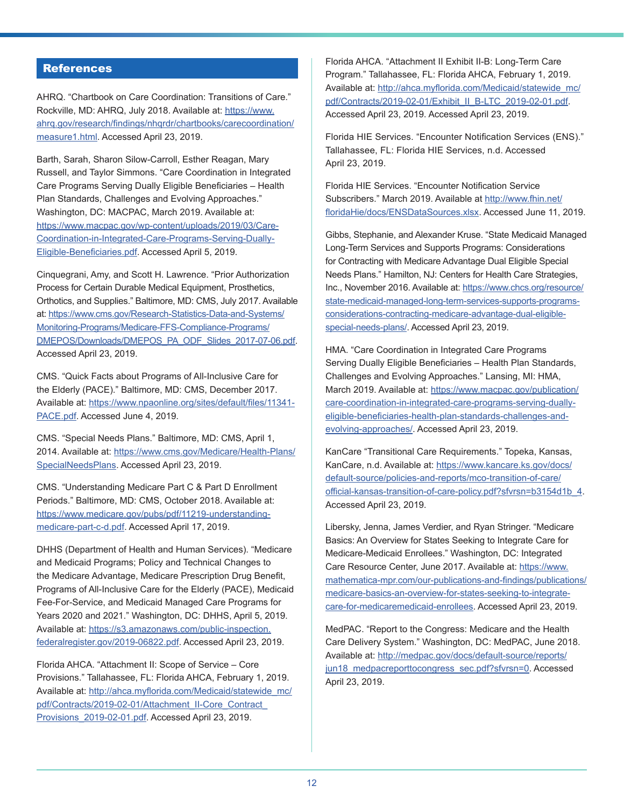# **References**

AHRQ. "Chartbook on Care Coordination: Transitions of Care." Rockville, MD: AHRQ, July 2018. Available at: [https://www.](https://www.ahrq.gov/research/findings/nhqrdr/chartbooks/carecoordination/measure1.html) [ahrq.gov/research/findings/nhqrdr/chartbooks/carecoordination/](https://www.ahrq.gov/research/findings/nhqrdr/chartbooks/carecoordination/measure1.html) [measure1.html](https://www.ahrq.gov/research/findings/nhqrdr/chartbooks/carecoordination/measure1.html). Accessed April 23, 2019.

Barth, Sarah, Sharon Silow-Carroll, Esther Reagan, Mary Russell, and Taylor Simmons. "Care Coordination in Integrated Care Programs Serving Dually Eligible Beneficiaries – Health Plan Standards, Challenges and Evolving Approaches." Washington, DC: MACPAC, March 2019. Available at: [https://www.macpac.gov/wp-content/uploads/2019/03/Care-](https://www.macpac.gov/wp-content/uploads/2019/03/Care-Coordination-in-Integrated-Care-Programs-Serving-Dually-Eligible-Beneficiaries.pdf)[Coordination-in-Integrated-Care-Programs-Serving-Dually-](https://www.macpac.gov/wp-content/uploads/2019/03/Care-Coordination-in-Integrated-Care-Programs-Serving-Dually-Eligible-Beneficiaries.pdf)[Eligible-Beneficiaries.pdf.](https://www.macpac.gov/wp-content/uploads/2019/03/Care-Coordination-in-Integrated-Care-Programs-Serving-Dually-Eligible-Beneficiaries.pdf) Accessed April 5, 2019.

Cinquegrani, Amy, and Scott H. Lawrence. "Prior Authorization Process for Certain Durable Medical Equipment, Prosthetics, Orthotics, and Supplies." Baltimore, MD: CMS, July 2017. Available at: [https://www.cms.gov/Research-Statistics-Data-and-Systems/](https://www.cms.gov/Research-Statistics-Data-and-Systems/Monitoring-Programs/Medicare-FFS-Compliance-Programs/DMEPOS/Downloads/DMEPOS_PA_ODF_Slides_2017-07-06.pdf) [Monitoring-Programs/Medicare-FFS-Compliance-Programs/](https://www.cms.gov/Research-Statistics-Data-and-Systems/Monitoring-Programs/Medicare-FFS-Compliance-Programs/DMEPOS/Downloads/DMEPOS_PA_ODF_Slides_2017-07-06.pdf) [DMEPOS/Downloads/DMEPOS\\_PA\\_ODF\\_Slides\\_2017-07-06.pdf.](https://www.cms.gov/Research-Statistics-Data-and-Systems/Monitoring-Programs/Medicare-FFS-Compliance-Programs/DMEPOS/Downloads/DMEPOS_PA_ODF_Slides_2017-07-06.pdf) Accessed April 23, 2019.

CMS. "Quick Facts about Programs of All-Inclusive Care for the Elderly (PACE)." Baltimore, MD: CMS, December 2017. Available at: [https://www.npaonline.org/sites/default/files/11341-](https://www.npaonline.org/sites/default/files/11341-PACE.pdf) [PACE.pdf](https://www.npaonline.org/sites/default/files/11341-PACE.pdf). Accessed June 4, 2019.

CMS. "Special Needs Plans." Baltimore, MD: CMS, April 1, 2014. Available at: [https://www.cms.gov/Medicare/Health-Plans/](https://www.cms.gov/Medicare/Health-Plans/SpecialNeedsPlans) [SpecialNeedsPlans](https://www.cms.gov/Medicare/Health-Plans/SpecialNeedsPlans). Accessed April 23, 2019.

CMS. "Understanding Medicare Part C & Part D Enrollment Periods." Baltimore, MD: CMS, October 2018. Available at: [https://www.medicare.gov/pubs/pdf/11219-understanding](https://www.medicare.gov/pubs/pdf/11219-understanding-medicare-part-c-d.pdf)[medicare-part-c-d.pdf](https://www.medicare.gov/pubs/pdf/11219-understanding-medicare-part-c-d.pdf). Accessed April 17, 2019.

DHHS (Department of Health and Human Services). "Medicare and Medicaid Programs; Policy and Technical Changes to the Medicare Advantage, Medicare Prescription Drug Benefit, Programs of All-Inclusive Care for the Elderly (PACE), Medicaid Fee-For-Service, and Medicaid Managed Care Programs for Years 2020 and 2021." Washington, DC: DHHS, April 5, 2019. Available at: [https://s3.amazonaws.com/public-inspection.](https://s3.amazonaws.com/public-inspection.federalregister.gov/2019-06822.pdf) [federalregister.gov/2019-06822.pdf](https://s3.amazonaws.com/public-inspection.federalregister.gov/2019-06822.pdf). Accessed April 23, 2019.

Florida AHCA. "Attachment II: Scope of Service – Core Provisions." Tallahassee, FL: Florida AHCA, February 1, 2019. Available at: [http://ahca.myflorida.com/Medicaid/statewide\\_mc/](http://ahca.myflorida.com/Medicaid/statewide_mc/pdf/Contracts/2019-02-01/Attachment_II-Core_Contract_Provisions_2019-02-01.pdf) [pdf/Contracts/2019-02-01/Attachment\\_II-Core\\_Contract\\_](http://ahca.myflorida.com/Medicaid/statewide_mc/pdf/Contracts/2019-02-01/Attachment_II-Core_Contract_Provisions_2019-02-01.pdf) Provisions 2019-02-01.pdf. Accessed April 23, 2019.

Florida AHCA. "Attachment II Exhibit II-B: Long-Term Care Program." Tallahassee, FL: Florida AHCA, February 1, 2019. Available at: [http://ahca.myflorida.com/Medicaid/statewide\\_mc/](http://ahca.myflorida.com/Medicaid/statewide_mc/pdf/Contracts/2019-02-01/Exhibit_II_B-LTC_2019-02-01.pdf) [pdf/Contracts/2019-02-01/Exhibit\\_II\\_B-LTC\\_2019-02-01.pdf](http://ahca.myflorida.com/Medicaid/statewide_mc/pdf/Contracts/2019-02-01/Exhibit_II_B-LTC_2019-02-01.pdf). Accessed April 23, 2019. Accessed April 23, 2019.

Florida HIE Services. "Encounter Notification Services (ENS)." Tallahassee, FL: Florida HIE Services, n.d. Accessed April 23, 2019.

Florida HIE Services. "Encounter Notification Service Subscribers." March 2019. Available at [http://www.fhin.net/](http://www.fhin.net/floridaHie/docs/ENSDataSources.xlsx) [floridaHie/docs/ENSDataSources.xlsx](http://www.fhin.net/floridaHie/docs/ENSDataSources.xlsx). Accessed June 11, 2019.

Gibbs, Stephanie, and Alexander Kruse. "State Medicaid Managed Long-Term Services and Supports Programs: Considerations for Contracting with Medicare Advantage Dual Eligible Special Needs Plans." Hamilton, NJ: Centers for Health Care Strategies, Inc., November 2016. Available at: [https://www.chcs.org/resource/](https://www.chcs.org/resource/state-medicaid-managed-long-term-services-supports-programs-considerations-contracting-medicare-advantage-dual-eligible-special-needs-plans/) [state-medicaid-managed-long-term-services-supports-programs](https://www.chcs.org/resource/state-medicaid-managed-long-term-services-supports-programs-considerations-contracting-medicare-advantage-dual-eligible-special-needs-plans/)[considerations-contracting-medicare-advantage-dual-eligible](https://www.chcs.org/resource/state-medicaid-managed-long-term-services-supports-programs-considerations-contracting-medicare-advantage-dual-eligible-special-needs-plans/)[special-needs-plans/](https://www.chcs.org/resource/state-medicaid-managed-long-term-services-supports-programs-considerations-contracting-medicare-advantage-dual-eligible-special-needs-plans/). Accessed April 23, 2019.

HMA. "Care Coordination in Integrated Care Programs Serving Dually Eligible Beneficiaries – Health Plan Standards, Challenges and Evolving Approaches." Lansing, MI: HMA, March 2019. Available at: [https://www.macpac.gov/publication/](https://www.macpac.gov/publication/care-coordination-in-integrated-care-programs-serving-dually-eligible-beneficiaries-health-plan-standards-challenges-and-evolving-approaches/) [care-coordination-in-integrated-care-programs-serving-dually](https://www.macpac.gov/publication/care-coordination-in-integrated-care-programs-serving-dually-eligible-beneficiaries-health-plan-standards-challenges-and-evolving-approaches/)[eligible-beneficiaries-health-plan-standards-challenges-and](https://www.macpac.gov/publication/care-coordination-in-integrated-care-programs-serving-dually-eligible-beneficiaries-health-plan-standards-challenges-and-evolving-approaches/)[evolving-approaches/](https://www.macpac.gov/publication/care-coordination-in-integrated-care-programs-serving-dually-eligible-beneficiaries-health-plan-standards-challenges-and-evolving-approaches/). Accessed April 23, 2019.

KanCare "Transitional Care Requirements." Topeka, Kansas, KanCare, n.d. Available at: [https://www.kancare.ks.gov/docs/](https://www.kancare.ks.gov/docs/default-source/policies-and-reports/mco-transition-of-care/official-kansas-transition-of-care-policy.pdf?sfvrsn=b3154d1b_4) [default-source/policies-and-reports/mco-transition-of-care/](https://www.kancare.ks.gov/docs/default-source/policies-and-reports/mco-transition-of-care/official-kansas-transition-of-care-policy.pdf?sfvrsn=b3154d1b_4) [official-kansas-transition-of-care-policy.pdf?sfvrsn=b3154d1b\\_4](https://www.kancare.ks.gov/docs/default-source/policies-and-reports/mco-transition-of-care/official-kansas-transition-of-care-policy.pdf?sfvrsn=b3154d1b_4). Accessed April 23, 2019.

Libersky, Jenna, James Verdier, and Ryan Stringer. "Medicare Basics: An Overview for States Seeking to Integrate Care for Medicare-Medicaid Enrollees." Washington, DC: Integrated Care Resource Center, June 2017. Available at: [https://www.](https://www.mathematica-mpr.com/our-publications-and-findings/publications/medicare-basics-an-overview-for-states-seeking-to-integrate-care-for-medicaremedicaid-enrollees) [mathematica-mpr.com/our-publications-and-findings/publications/](https://www.mathematica-mpr.com/our-publications-and-findings/publications/medicare-basics-an-overview-for-states-seeking-to-integrate-care-for-medicaremedicaid-enrollees) [medicare-basics-an-overview-for-states-seeking-to-integrate](https://www.mathematica-mpr.com/our-publications-and-findings/publications/medicare-basics-an-overview-for-states-seeking-to-integrate-care-for-medicaremedicaid-enrollees)[care-for-medicaremedicaid-enrollees](https://www.mathematica-mpr.com/our-publications-and-findings/publications/medicare-basics-an-overview-for-states-seeking-to-integrate-care-for-medicaremedicaid-enrollees). Accessed April 23, 2019.

MedPAC. "Report to the Congress: Medicare and the Health Care Delivery System." Washington, DC: MedPAC, June 2018. Available at: [http://medpac.gov/docs/default-source/reports/](http://medpac.gov/docs/default-source/reports/jun18_medpacreporttocongress_sec.pdf?sfvrsn=0) [jun18\\_medpacreporttocongress\\_sec.pdf?sfvrsn=0](http://medpac.gov/docs/default-source/reports/jun18_medpacreporttocongress_sec.pdf?sfvrsn=0). Accessed April 23, 2019.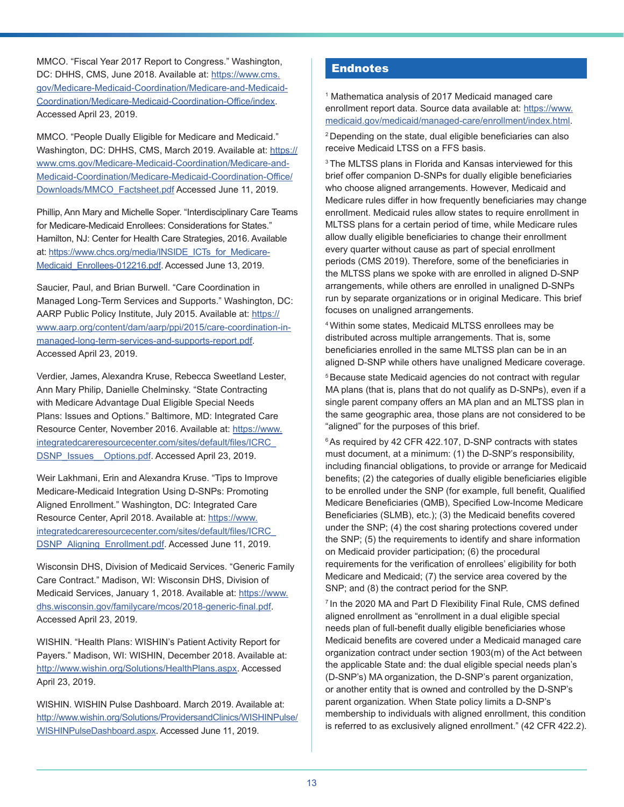<span id="page-12-0"></span>MMCO. "Fiscal Year 2017 Report to Congress." Washington, DC: DHHS, CMS, June 2018. Available at: [https://www.cms.](https://www.cms.gov/Medicare-Medicaid-Coordination/Medicare-and-Medicaid-Coordination/Medicare-Medicaid-Coordination-Office/index) [gov/Medicare-Medicaid-Coordination/Medicare-and-Medicaid-](https://www.cms.gov/Medicare-Medicaid-Coordination/Medicare-and-Medicaid-Coordination/Medicare-Medicaid-Coordination-Office/index)[Coordination/Medicare-Medicaid-Coordination-Office/index](https://www.cms.gov/Medicare-Medicaid-Coordination/Medicare-and-Medicaid-Coordination/Medicare-Medicaid-Coordination-Office/index). Accessed April 23, 2019.

MMCO. "People Dually Eligible for Medicare and Medicaid." Washington, DC: DHHS, CMS, March 2019. Available at: [https://](https://www.cms.gov/Medicare-Medicaid-Coordination/Medicare-and-Medicaid-Coordination/Medicare-Medicaid-Coordination-Office/Downloads/MMCO_Factsheet.pdf) [www.cms.gov/Medicare-Medicaid-Coordination/Medicare-and-](https://www.cms.gov/Medicare-Medicaid-Coordination/Medicare-and-Medicaid-Coordination/Medicare-Medicaid-Coordination-Office/Downloads/MMCO_Factsheet.pdf)[Medicaid-Coordination/Medicare-Medicaid-Coordination-Office/](https://www.cms.gov/Medicare-Medicaid-Coordination/Medicare-and-Medicaid-Coordination/Medicare-Medicaid-Coordination-Office/Downloads/MMCO_Factsheet.pdf) [Downloads/MMCO\\_Factsheet.pdf](https://www.cms.gov/Medicare-Medicaid-Coordination/Medicare-and-Medicaid-Coordination/Medicare-Medicaid-Coordination-Office/Downloads/MMCO_Factsheet.pdf) Accessed June 11, 2019.

Phillip, Ann Mary and Michelle Soper. "Interdisciplinary Care Teams for Medicare-Medicaid Enrollees: Considerations for States." Hamilton, NJ: Center for Health Care Strategies, 2016. Available at: [https://www.chcs.org/media/INSIDE\\_ICTs\\_for\\_Medicare-](https://www.chcs.org/media/INSIDE_ICTs_for_Medicare-Medicaid_Enrollees-012216.pdf)Medicaid Enrollees-012216.pdf. Accessed June 13, 2019.

Saucier, Paul, and Brian Burwell. "Care Coordination in Managed Long-Term Services and Supports." Washington, DC: AARP Public Policy Institute, July 2015. Available at: [https://](https://www.aarp.org/content/dam/aarp/ppi/2015/care-coordination-in-managed-long-term-services-and-supports-report.pdf) [www.aarp.org/content/dam/aarp/ppi/2015/care-coordination-in](https://www.aarp.org/content/dam/aarp/ppi/2015/care-coordination-in-managed-long-term-services-and-supports-report.pdf)[managed-long-term-services-and-supports-report.pdf.](https://www.aarp.org/content/dam/aarp/ppi/2015/care-coordination-in-managed-long-term-services-and-supports-report.pdf) Accessed April 23, 2019.

Verdier, James, Alexandra Kruse, Rebecca Sweetland Lester, Ann Mary Philip, Danielle Chelminsky. "State Contracting with Medicare Advantage Dual Eligible Special Needs Plans: Issues and Options." Baltimore, MD: Integrated Care Resource Center, November 2016. Available at: [https://www.](https://www.integratedcareresourcecenter.com/sites/default/files/ICRC_DSNP_Issues__Options.pdf) [integratedcareresourcecenter.com/sites/default/files/ICRC\\_](https://www.integratedcareresourcecenter.com/sites/default/files/ICRC_DSNP_Issues__Options.pdf) [DSNP\\_Issues\\_\\_Options.pdf](https://www.integratedcareresourcecenter.com/sites/default/files/ICRC_DSNP_Issues__Options.pdf). Accessed April 23, 2019.

Weir Lakhmani, Erin and Alexandra Kruse. "Tips to Improve Medicare-Medicaid Integration Using D-SNPs: Promoting Aligned Enrollment." Washington, DC: Integrated Care Resource Center, April 2018. Available at: [https://www.](https://www.integratedcareresourcecenter.com/sites/default/files/ICRC_DSNP_Aligning_Enrollment.pdf) [integratedcareresourcecenter.com/sites/default/files/ICRC\\_](https://www.integratedcareresourcecenter.com/sites/default/files/ICRC_DSNP_Aligning_Enrollment.pdf) [DSNP\\_Aligning\\_Enrollment.pdf](https://www.integratedcareresourcecenter.com/sites/default/files/ICRC_DSNP_Aligning_Enrollment.pdf). Accessed June 11, 2019.

Wisconsin DHS, Division of Medicaid Services. "Generic Family Care Contract." Madison, WI: Wisconsin DHS, Division of Medicaid Services, January 1, 2018. Available at: [https://www.](https://www.dhs.wisconsin.gov/familycare/mcos/2018-generic-final.pdf) [dhs.wisconsin.gov/familycare/mcos/2018-generic-final.pdf](https://www.dhs.wisconsin.gov/familycare/mcos/2018-generic-final.pdf). Accessed April 23, 2019.

WISHIN. "Health Plans: WISHIN's Patient Activity Report for Payers." Madison, WI: WISHIN, December 2018. Available at: <http://www.wishin.org/Solutions/HealthPlans.aspx>. Accessed April 23, 2019.

WISHIN. WISHIN Pulse Dashboard. March 2019. Available at: [http://www.wishin.org/Solutions/ProvidersandClinics/WISHINPulse/](http://www.wishin.org/Solutions/ProvidersandClinics/WISHINPulse/WISHINPulseDashboard.aspx) [WISHINPulseDashboard.aspx.](http://www.wishin.org/Solutions/ProvidersandClinics/WISHINPulse/WISHINPulseDashboard.aspx) Accessed June 11, 2019.

# Endnotes

[1](#page-0-0) Mathematica analysis of 2017 Medicaid managed care enrollment report data. Source data available at: [https://www.](https://www.medicaid.gov/medicaid/managed-care/enrollment/index.html) [medicaid.gov/medicaid/managed-care/enrollment/index.html](https://www.medicaid.gov/medicaid/managed-care/enrollment/index.html). [2](#page-0-0) Depending on the state, dual eligible beneficiaries can also receive Medicaid LTSS on a FFS basis.

<sup>3</sup> The MLTSS plans in Florida and Kansas interviewed for this brief offer companion D-SNPs for dually eligible beneficiaries who choose aligned arrangements. However, Medicaid and Medicare rules differ in how frequently beneficiaries may change enrollment. Medicaid rules allow states to require enrollment in MLTSS plans for a certain period of time, while Medicare rules allow dually eligible beneficiaries to change their enrollment every quarter without cause as part of special enrollment periods (CMS 2019). Therefore, some of the beneficiaries in the MLTSS plans we spoke with are enrolled in aligned D-SNP arrangements, while others are enrolled in unaligned D-SNPs run by separate organizations or in original Medicare. This brief focuses on unaligned arrangements.

[4](#page-1-0) Within some states, Medicaid MLTSS enrollees may be distributed across multiple arrangements. That is, some beneficiaries enrolled in the same MLTSS plan can be in an aligned D-SNP while others have unaligned Medicare coverage.

<sup>[5](#page-1-0)</sup> Because state Medicaid agencies do not contract with regular MA plans (that is, plans that do not qualify as D-SNPs), even if a single parent company offers an MA plan and an MLTSS plan in the same geographic area, those plans are not considered to be "aligned" for the purposes of this brief.

<sup>[6](#page-1-0)</sup> As required by 42 CFR 422.107, D-SNP contracts with states must document, at a minimum: (1) the D-SNP's responsibility, including financial obligations, to provide or arrange for Medicaid benefits; (2) the categories of dually eligible beneficiaries eligible to be enrolled under the SNP (for example, full benefit, Qualified Medicare Beneficiaries (QMB), Specified Low-Income Medicare Beneficiaries (SLMB), etc.); (3) the Medicaid benefits covered under the SNP; (4) the cost sharing protections covered under the SNP; (5) the requirements to identify and share information on Medicaid provider participation; (6) the procedural requirements for the verification of enrollees' eligibility for both Medicare and Medicaid; (7) the service area covered by the SNP; and (8) the contract period for the SNP.

<sup>[7](#page-1-0)</sup> In the 2020 MA and Part D Flexibility Final Rule, CMS defined aligned enrollment as "enrollment in a dual eligible special needs plan of full-benefit dually eligible beneficiaries whose Medicaid benefits are covered under a Medicaid managed care organization contract under section 1903(m) of the Act between the applicable State and: the dual eligible special needs plan's (D-SNP's) MA organization, the D-SNP's parent organization, or another entity that is owned and controlled by the D-SNP's parent organization. When State policy limits a D-SNP's membership to individuals with aligned enrollment, this condition is referred to as exclusively aligned enrollment." (42 CFR 422.2).